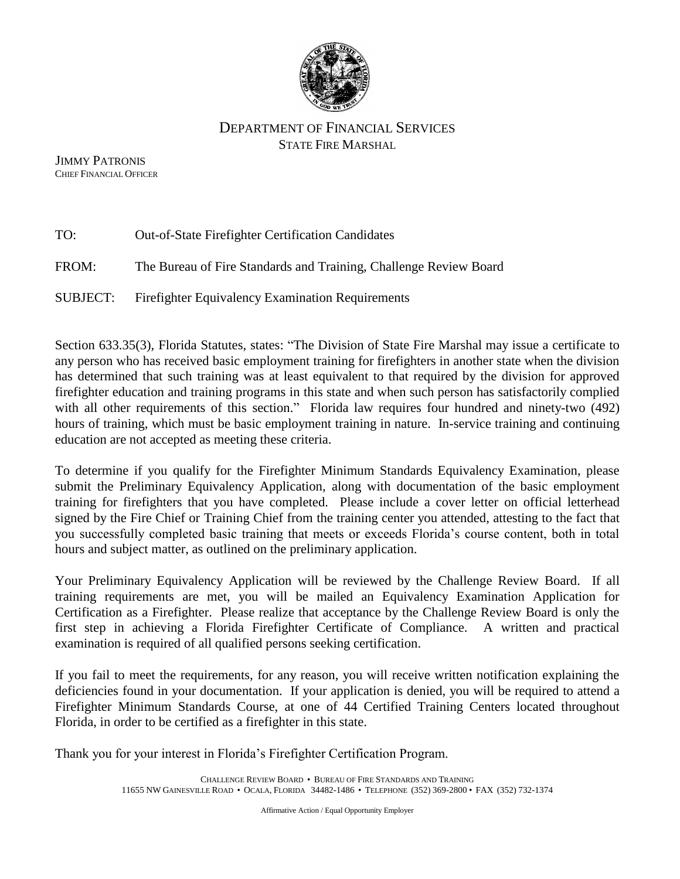

## DEPARTMENT OF FINANCIAL SERVICES STATE FIRE MARSHAL

 JIMMY PATRONIS CHIEF FINANCIAL OFFICER

| TO:      | <b>Out-of-State Firefighter Certification Candidates</b>          |
|----------|-------------------------------------------------------------------|
| FROM:    | The Bureau of Fire Standards and Training, Challenge Review Board |
| SUBJECT: | <b>Firefighter Equivalency Examination Requirements</b>           |

Section 633.35(3), Florida Statutes, states: "The Division of State Fire Marshal may issue a certificate to any person who has received basic employment training for firefighters in another state when the division has determined that such training was at least equivalent to that required by the division for approved firefighter education and training programs in this state and when such person has satisfactorily complied with all other requirements of this section." Florida law requires four hundred and ninety-two (492) hours of training, which must be basic employment training in nature. In-service training and continuing education are not accepted as meeting these criteria.

To determine if you qualify for the Firefighter Minimum Standards Equivalency Examination, please submit the Preliminary Equivalency Application, along with documentation of the basic employment training for firefighters that you have completed. Please include a cover letter on official letterhead signed by the Fire Chief or Training Chief from the training center you attended, attesting to the fact that you successfully completed basic training that meets or exceeds Florida's course content, both in total hours and subject matter, as outlined on the preliminary application.

Your Preliminary Equivalency Application will be reviewed by the Challenge Review Board. If all training requirements are met, you will be mailed an Equivalency Examination Application for Certification as a Firefighter. Please realize that acceptance by the Challenge Review Board is only the first step in achieving a Florida Firefighter Certificate of Compliance. A written and practical examination is required of all qualified persons seeking certification.

If you fail to meet the requirements, for any reason, you will receive written notification explaining the deficiencies found in your documentation. If your application is denied, you will be required to attend a Firefighter Minimum Standards Course, at one of 44 Certified Training Centers located throughout Florida, in order to be certified as a firefighter in this state.

Thank you for your interest in Florida's Firefighter Certification Program.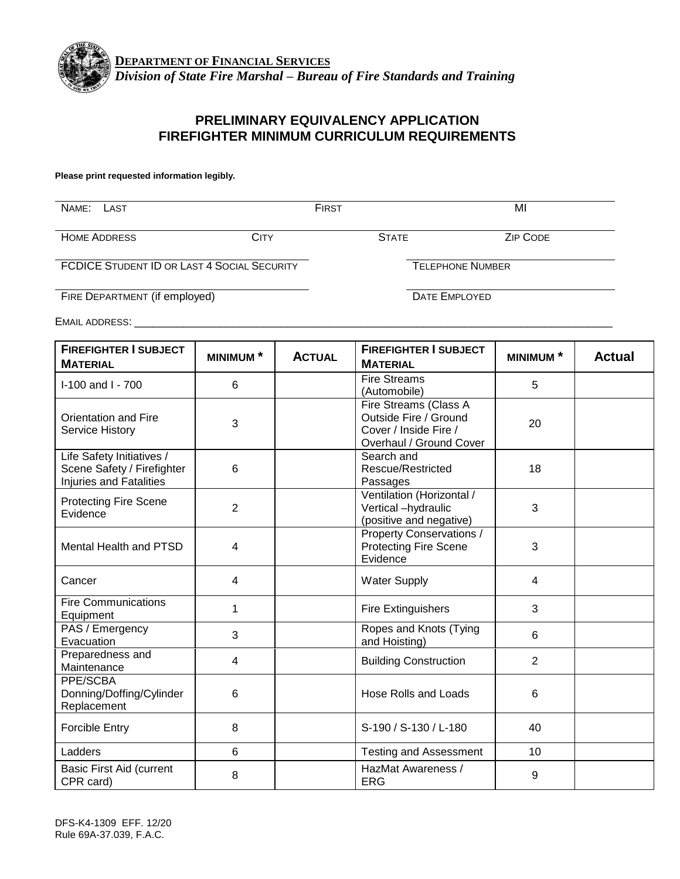

## **PRELIMINARY EQUIVALENCY APPLICATION FIREFIGHTER MINIMUM CURRICULUM REQUIREMENTS**

#### **Please print requested information legibly.**

| NAME:<br>LAST                                      |      | <b>FIRST</b>            |                      | ΜI              |
|----------------------------------------------------|------|-------------------------|----------------------|-----------------|
| <b>HOME ADDRESS</b>                                | CITY |                         | <b>STATE</b>         | <b>ZIP CODE</b> |
| <b>FCDICE STUDENT ID OR LAST 4 SOCIAL SECURITY</b> |      | <b>TELEPHONE NUMBER</b> |                      |                 |
| FIRE DEPARTMENT (if employed)                      |      |                         | <b>DATE EMPLOYED</b> |                 |

EMAIL ADDRESS: \_\_\_\_\_\_\_\_\_\_\_\_\_\_\_\_\_\_\_\_\_\_\_\_\_\_\_\_\_\_\_\_\_\_\_\_\_\_\_\_\_\_\_\_\_\_\_\_\_\_\_\_\_\_\_\_\_\_\_\_\_\_\_\_\_\_\_\_\_\_\_\_\_\_\_\_\_\_

| <b>FIREFIGHTER I SUBJECT</b><br><b>MATERIAL</b>                                           | <b>ACTUAL</b><br><b>MINIMUM</b> <sup>*</sup> |  | <b>FIREFIGHTER I SUBJECT</b><br><b>MATERIAL</b>                                                    | <b>MINIMUM*</b> | <b>Actual</b> |
|-------------------------------------------------------------------------------------------|----------------------------------------------|--|----------------------------------------------------------------------------------------------------|-----------------|---------------|
| I-100 and I - 700                                                                         | 6                                            |  | <b>Fire Streams</b><br>(Automobile)                                                                | 5               |               |
| <b>Orientation and Fire</b><br><b>Service History</b>                                     | 3                                            |  | Fire Streams (Class A<br>Outside Fire / Ground<br>Cover / Inside Fire /<br>Overhaul / Ground Cover | 20              |               |
| Life Safety Initiatives /<br>Scene Safety / Firefighter<br><b>Injuries and Fatalities</b> | 6                                            |  | Search and<br>Rescue/Restricted<br>Passages                                                        | 18              |               |
| <b>Protecting Fire Scene</b><br>Evidence                                                  | $\overline{2}$                               |  | Ventilation (Horizontal /<br>Vertical -hydraulic<br>(positive and negative)                        | 3               |               |
| Mental Health and PTSD                                                                    | 4                                            |  | Property Conservations /<br><b>Protecting Fire Scene</b><br>Evidence                               | 3               |               |
| Cancer                                                                                    | $\overline{4}$                               |  | <b>Water Supply</b>                                                                                | 4               |               |
| <b>Fire Communications</b><br>Equipment                                                   | 1                                            |  | <b>Fire Extinguishers</b>                                                                          | 3               |               |
| PAS / Emergency<br>Evacuation                                                             | 3                                            |  | Ropes and Knots (Tying<br>and Hoisting)                                                            | 6               |               |
| Preparedness and<br>Maintenance                                                           | 4                                            |  | <b>Building Construction</b>                                                                       | $\overline{2}$  |               |
| PPE/SCBA<br>Donning/Doffing/Cylinder<br>Replacement                                       | 6                                            |  | <b>Hose Rolls and Loads</b>                                                                        | 6               |               |
| <b>Forcible Entry</b>                                                                     | 8                                            |  | S-190 / S-130 / L-180                                                                              | 40              |               |
| Ladders                                                                                   | 6                                            |  | <b>Testing and Assessment</b>                                                                      | 10              |               |
| Basic First Aid (current<br>CPR card)                                                     | 8                                            |  | HazMat Awareness /<br>ERG                                                                          | 9               |               |